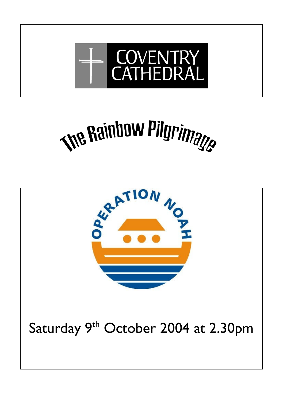





Saturday 9<sup>th</sup> October 2004 at 2.30pm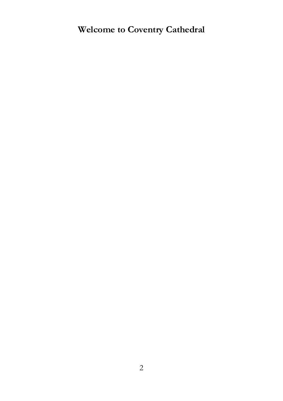**Welcome to Coventry Cathedral**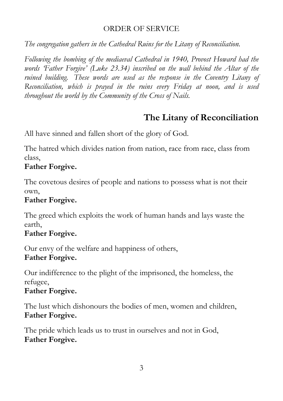#### ORDER OF SERVICE

*The congregation gathers in the Cathedral Ruins for the Litany of Reconciliation.* 

*Following the bombing of the mediaeval Cathedral in 1940, Provost Howard had the words 'Father Forgive' (Luke 23.34) inscribed on the wall behind the Altar of the ruined building. These words are used as the response in the Coventry Litany of Reconciliation, which is prayed in the ruins every Friday at noon, and is used throughout the world by the Community of the Cross of Nails.* 

# **The Litany of Reconciliation**

All have sinned and fallen short of the glory of God.

The hatred which divides nation from nation, race from race, class from class,

# **Father Forgive.**

The covetous desires of people and nations to possess what is not their own,

### **Father Forgive.**

The greed which exploits the work of human hands and lays waste the earth,

# **Father Forgive.**

Our envy of the welfare and happiness of others, **Father Forgive.** 

Our indifference to the plight of the imprisoned, the homeless, the refugee,

### **Father Forgive.**

The lust which dishonours the bodies of men, women and children, **Father Forgive.** 

The pride which leads us to trust in ourselves and not in God, **Father Forgive.**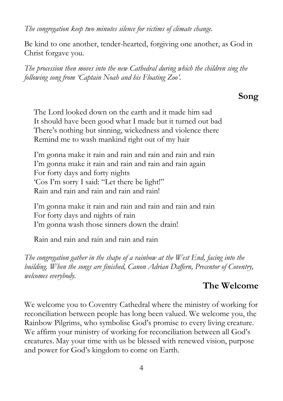*The congregation keep two minutes silence for victims of climate change.* 

Be kind to one another, tender-hearted, forgiving one another, as God in Christ forgave you.

*The procession then moves into the new Cathedral during which the children sing the following song from 'Captain Noah and his Floating Zoo'.* 

## **Song**

The Lord looked down on the earth and it made him sad It should have been good what I made but it turned out bad There's nothing but sinning, wickedness and violence there Remind me to wash mankind right out of my hair

I'm gonna make it rain and rain and rain and rain and rain I'm gonna make it rain and rain and rain and rain again For forty days and forty nights 'Cos I'm sorry I said: "Let there be light!" Rain and rain and rain and rain and rain!

I'm gonna make it rain and rain and rain and rain and rain For forty days and nights of rain I'm gonna wash those sinners down the drain!

Rain and rain and rain and rain and rain

*The congregation gather in the shape of a rainbow at the West End, facing into the building. When the songs are finished, Canon Adrian Daffern, Precentor of Coventry, welcomes everybody.* 

# **The Welcome**

We welcome you to Coventry Cathedral where the ministry of working for reconciliation between people has long been valued. We welcome you, the Rainbow Pilgrims, who symbolise God's promise to every living creature. We affirm your ministry of working for reconciliation between all God's creatures. May your time with us be blessed with renewed vision, purpose and power for God's kingdom to come on Earth.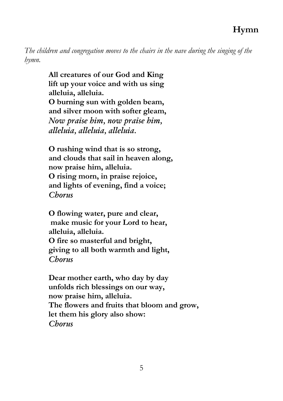*The children and congregation moves to the chairs in the nave during the singing of the hymn.* 

> **All creatures of our God and King lift up your voice and with us sing alleluia, alleluia. O burning sun with golden beam, and silver moon with softer gleam,**  *Now praise him, now praise him, alleluia, alleluia, alleluia.*

 **O rushing wind that is so strong, and clouds that sail in heaven along, now praise him, alleluia. O rising morn, in praise rejoice, and lights of evening, find a voice;**  *Chorus* 

 **O flowing water, pure and clear, make music for your Lord to hear, alleluia, alleluia. O fire so masterful and bright, giving to all both warmth and light,**  *Chorus* 

 **Dear mother earth, who day by day unfolds rich blessings on our way, now praise him, alleluia. The flowers and fruits that bloom and grow, let them his glory also show:**  *Chorus*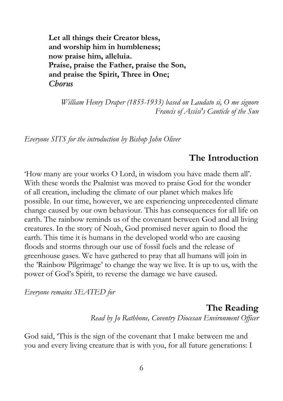**Let all things their Creator bless, and worship him in humbleness; now praise him, alleluia. Praise, praise the Father, praise the Son, and praise the Spirit, Three in One;**   *Chorus* 

*William Henry Draper (1855-1933) based on Laudato si, O me signore Francis of Assisi's Canticle of the Sun* 

*Everyone SITS for the introduction by Bishop John Oliver* 

### **The Introduction**

'How many are your works O Lord, in wisdom you have made them all'. With these words the Psalmist was moved to praise God for the wonder of all creation, including the climate of our planet which makes life possible. In our time, however, we are experiencing unprecedented climate change caused by our own behaviour. This has consequences for all life on earth. The rainbow reminds us of the covenant between God and all living creatures. In the story of Noah, God promised never again to flood the earth. This time it is humans in the developed world who are causing floods and storms through our use of fossil fuels and the release of greenhouse gases. We have gathered to pray that all humans will join in the 'Rainbow Pilgrimage' to change the way we live. It is up to us, with the power of God's Spirit, to reverse the damage we have caused.

*Everyone remains SEATED for* 

**The Reading**  *Read by Jo Rathbone, Coventry Diocesan Environment Officer* 

God said, 'This is the sign of the covenant that I make between me and you and every living creature that is with you, for all future generations: I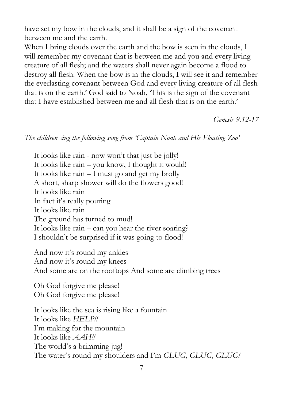have set my bow in the clouds, and it shall be a sign of the covenant between me and the earth.

When I bring clouds over the earth and the bow is seen in the clouds, I will remember my covenant that is between me and you and every living creature of all flesh; and the waters shall never again become a flood to destroy all flesh. When the bow is in the clouds, I will see it and remember the everlasting covenant between God and every living creature of all flesh that is on the earth.' God said to Noah, 'This is the sign of the covenant that I have established between me and all flesh that is on the earth.'

*Genesis 9.12-17*

#### *The children sing the following song from 'Captain Noah and His Floating Zoo'*

It looks like rain - now won't that just be jolly! It looks like rain – you know, I thought it would! It looks like rain – I must go and get my brolly A short, sharp shower will do the flowers good! It looks like rain In fact it's really pouring It looks like rain The ground has turned to mud! It looks like rain – can you hear the river soaring? I shouldn't be surprised if it was going to flood!

And now it's round my ankles And now it's round my knees And some are on the rooftops And some are climbing trees

Oh God forgive me please! Oh God forgive me please!

It looks like the sea is rising like a fountain It looks like *HELP!!*  I'm making for the mountain It looks like *AAH!!*  The world's a brimming jug! The water's round my shoulders and I'm *GLUG, GLUG, GLUG!*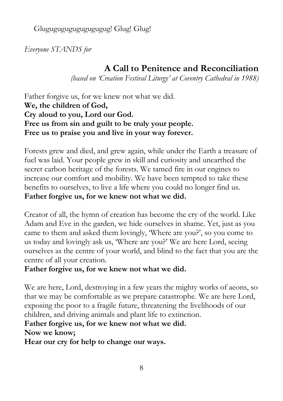Glugugugugugugugugug! Glug! Glug!

*Everyone STANDS for* 

# **A Call to Penitence and Reconciliation**

*(based on 'Creation Festival Liturgy' at Coventry Cathedral in 1988)* 

Father forgive us, for we knew not what we did. **We, the children of God, Cry aloud to you, Lord our God. Free us from sin and guilt to be truly your people. Free us to praise you and live in your way forever.**

Forests grew and died, and grew again, while under the Earth a treasure of fuel was laid. Your people grew in skill and curiosity and unearthed the secret carbon heritage of the forests. We tamed fire in our engines to increase our comfort and mobility. We have been tempted to take these benefits to ourselves, to live a life where you could no longer find us. **Father forgive us, for we knew not what we did.** 

Creator of all, the hymn of creation has become the cry of the world. Like Adam and Eve in the garden, we hide ourselves in shame. Yet, just as you came to them and asked them lovingly, 'Where are you?', so you come to us today and lovingly ask us, 'Where are you?' We are here Lord, seeing ourselves as the centre of your world, and blind to the fact that you are the centre of all your creation.

#### **Father forgive us, for we knew not what we did.**

We are here, Lord, destroying in a few years the mighty works of aeons, so that we may be comfortable as we prepare catastrophe. We are here Lord, exposing the poor to a fragile future, threatening the livelihoods of our children, and driving animals and plant life to extinction.

### **Father forgive us, for we knew not what we did.**

**Now we know;** 

**Hear our cry for help to change our ways.**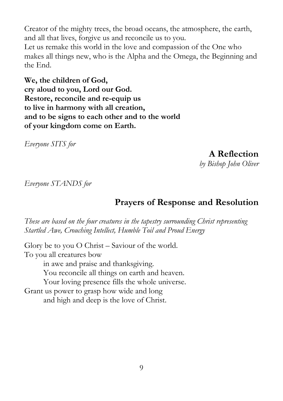Creator of the mighty trees, the broad oceans, the atmosphere, the earth, and all that lives, forgive us and reconcile us to you. Let us remake this world in the love and compassion of the One who makes all things new, who is the Alpha and the Omega, the Beginning and the End.

**We, the children of God, cry aloud to you, Lord our God. Restore, reconcile and re-equip us to live in harmony with all creation, and to be signs to each other and to the world of your kingdom come on Earth.** 

*Everyone SITS for* 

**A Reflection**  *by Bishop John Oliver* 

*Everyone STANDS for* 

# **Prayers of Response and Resolution**

*These are based on the four creatures in the tapestry surrounding Christ representing Startled Awe, Crouching Intellect, Humble Toil and Proud Energy* 

Glory be to you O Christ – Saviour of the world. To you all creatures bow in awe and praise and thanksgiving. You reconcile all things on earth and heaven. Your loving presence fills the whole universe. Grant us power to grasp how wide and long and high and deep is the love of Christ.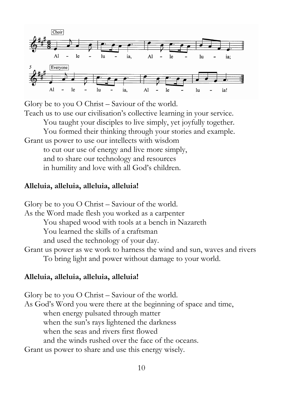

Glory be to you O Christ – Saviour of the world.

Teach us to use our civilisation's collective learning in your service.

You taught your disciples to live simply, yet joyfully together.

You formed their thinking through your stories and example.

Grant us power to use our intellects with wisdom to cut our use of energy and live more simply, and to share our technology and resources in humility and love with all God's children.

#### **Alleluia, alleluia, alleluia, alleluia!**

Glory be to you O Christ – Saviour of the world. As the Word made flesh you worked as a carpenter You shaped wood with tools at a bench in Nazareth You learned the skills of a craftsman and used the technology of your day. Grant us power as we work to harness the wind and sun, waves and rivers To bring light and power without damage to your world.

#### **Alleluia, alleluia, alleluia, alleluia!**

Glory be to you O Christ – Saviour of the world. As God's Word you were there at the beginning of space and time, when energy pulsated through matter when the sun's rays lightened the darkness when the seas and rivers first flowed and the winds rushed over the face of the oceans. Grant us power to share and use this energy wisely.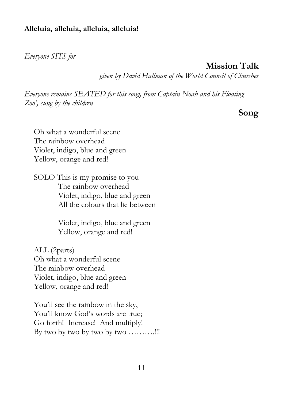#### **Alleluia, alleluia, alleluia, alleluia!**

*Everyone SITS for* 

**Mission Talk** 

*given by David Hallman of the World Council of Churches* 

*Everyone remains SEATED for this song, from Captain Noah and his Floating Zoo', sung by the children* 

**Song** 

Oh what a wonderful scene The rainbow overhead Violet, indigo, blue and green Yellow, orange and red!

SOLO This is my promise to you The rainbow overhead Violet, indigo, blue and green All the colours that lie between

> Violet, indigo, blue and green Yellow, orange and red!

ALL (2parts) Oh what a wonderful scene The rainbow overhead Violet, indigo, blue and green Yellow, orange and red!

You'll see the rainbow in the sky, You'll know God's words are true; Go forth! Increase! And multiply! By two by two by two by two ..........!!!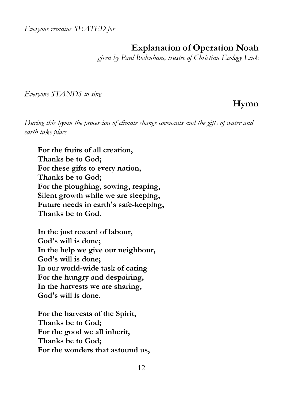*Everyone remains SEATED for*

# **Explanation of Operation Noah**

*given by Paul Bodenham, trustee of Christian Ecology Link* 

*Everyone STANDS to sing* 

# **Hymn**

*During this hymn the procession of climate change covenants and the gifts of water and earth take place* 

 **For the fruits of all creation, Thanks be to God; For these gifts to every nation, Thanks be to God; For the ploughing, sowing, reaping, Silent growth while we are sleeping, Future needs in earth's safe-keeping, Thanks be to God.** 

 **In the just reward of labour, God's will is done; In the help we give our neighbour, God's will is done; In our world-wide task of caring For the hungry and despairing, In the harvests we are sharing, God's will is done.** 

 **For the harvests of the Spirit, Thanks be to God; For the good we all inherit, Thanks be to God; For the wonders that astound us,**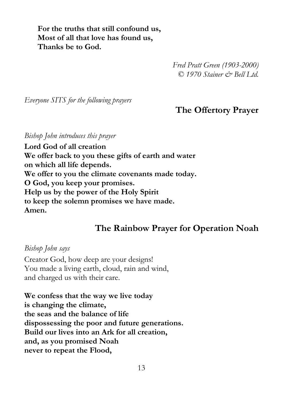**For the truths that still confound us, Most of all that love has found us, Thanks be to God.** 

> *Fred Pratt Green (1903-2000) © 1970 Stainer & Bell Ltd.*

*Everyone SITS for the following prayers* 

# **The Offertory Prayer**

*Bishop John introduces this prayer* 

**Lord God of all creation We offer back to you these gifts of earth and water on which all life depends. We offer to you the climate covenants made today. O God, you keep your promises. Help us by the power of the Holy Spirit to keep the solemn promises we have made. Amen.** 

### **The Rainbow Prayer for Operation Noah**

*Bishop John says*  Creator God, how deep are your designs! You made a living earth, cloud, rain and wind, and charged us with their care.

**We confess that the way we live today is changing the climate, the seas and the balance of life dispossessing the poor and future generations. Build our lives into an Ark for all creation, and, as you promised Noah never to repeat the Flood,**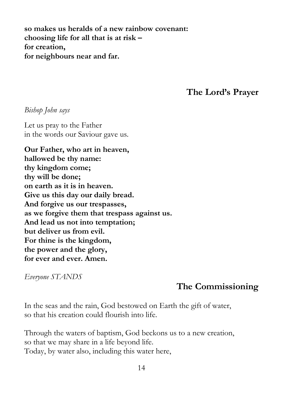**so makes us heralds of a new rainbow covenant: choosing life for all that is at risk – for creation, for neighbours near and far.** 

**The Lord's Prayer** 

*Bishop John says* 

Let us pray to the Father in the words our Saviour gave us.

**Our Father, who art in heaven, hallowed be thy name: thy kingdom come; thy will be done; on earth as it is in heaven. Give us this day our daily bread. And forgive us our trespasses, as we forgive them that trespass against us. And lead us not into temptation; but deliver us from evil. For thine is the kingdom, the power and the glory, for ever and ever. Amen.** 

*Everyone STANDS* 

### **The Commissioning**

In the seas and the rain, God bestowed on Earth the gift of water, so that his creation could flourish into life.

Through the waters of baptism, God beckons us to a new creation, so that we may share in a life beyond life. Today, by water also, including this water here,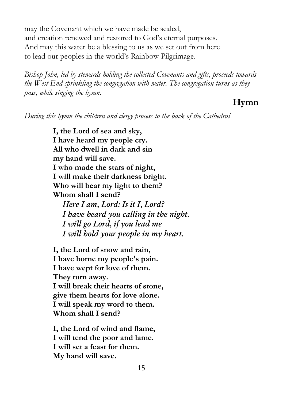may the Covenant which we have made be sealed, and creation renewed and restored to God's eternal purposes. And may this water be a blessing to us as we set out from here to lead our peoples in the world's Rainbow Pilgrimage.

*Bishop John, led by stewards holding the collected Covenants and gifts, proceeds towards the West End sprinkling the congregation with water. The congregation turns as they pass, while singing the hymn.* 

## **Hymn**

*During this hymn the children and clergy process to the back of the Cathedral* 

**I, the Lord of sea and sky, I have heard my people cry. All who dwell in dark and sin my hand will save. I who made the stars of night, I will make their darkness bright. Who will bear my light to them? Whom shall I send?**  *Here I am, Lord: Is it I, Lord? I have heard you calling in the night. I will go Lord, if you lead me I will hold your people in my heart.* 

**I, the Lord of snow and rain, I have borne my people's pain. I have wept for love of them. They turn away. I will break their hearts of stone, give them hearts for love alone. I will speak my word to them. Whom shall I send?**

**I, the Lord of wind and flame, I will tend the poor and lame. I will set a feast for them. My hand will save.**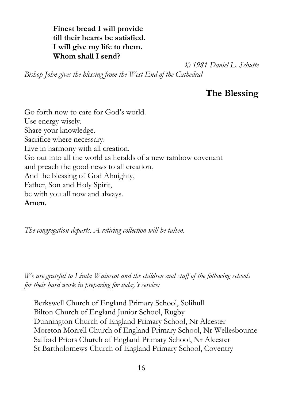**Finest bread I will provide till their hearts be satisfied. I will give my life to them. Whom shall I send?**

 *© 1981 Daniel L. Schutte*

*Bishop John gives the blessing from the West End of the Cathedral* 

# **The Blessing**

Go forth now to care for God's world. Use energy wisely. Share your knowledge. Sacrifice where necessary. Live in harmony with all creation. Go out into all the world as heralds of a new rainbow covenant and preach the good news to all creation. And the blessing of God Almighty, Father, Son and Holy Spirit, be with you all now and always. **Amen.** 

*The congregation departs. A retiring collection will be taken.* 

*We are grateful to Linda Wainscot and the children and staff of the following schools for their hard work in preparing for today's service:* 

Berkswell Church of England Primary School, Solihull Bilton Church of England Junior School, Rugby Dunnington Church of England Primary School, Nr Alcester Moreton Morrell Church of England Primary School, Nr Wellesbourne Salford Priors Church of England Primary School, Nr Alcester St Bartholomews Church of England Primary School, Coventry